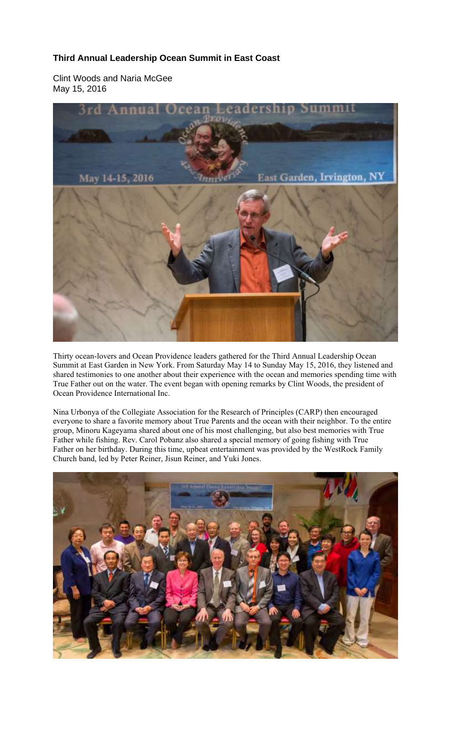## **Third Annual Leadership Ocean Summit in East Coast**

Clint Woods and Naria McGee May 15, 2016



Thirty ocean-lovers and Ocean Providence leaders gathered for the Third Annual Leadership Ocean Summit at East Garden in New York. From Saturday May 14 to Sunday May 15, 2016, they listened and shared testimonies to one another about their experience with the ocean and memories spending time with True Father out on the water. The event began with opening remarks by Clint Woods, the president of Ocean Providence International Inc.

Nina Urbonya of the Collegiate Association for the Research of Principles (CARP) then encouraged everyone to share a favorite memory about True Parents and the ocean with their neighbor. To the entire group, Minoru Kageyama shared about one of his most challenging, but also best memories with True Father while fishing. Rev. Carol Pobanz also shared a special memory of going fishing with True Father on her birthday. During this time, upbeat entertainment was provided by the WestRock Family Church band, led by Peter Reiner, Jisun Reiner, and Yuki Jones.